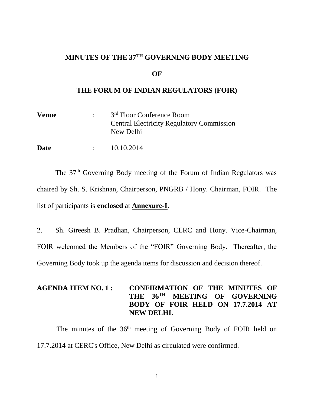## **MINUTES OF THE 37TH GOVERNING BODY MEETING**

#### **OF**

#### **THE FORUM OF INDIAN REGULATORS (FOIR)**

| <b>Venue</b> | 3 <sup>rd</sup> Floor Conference Room                         |  |
|--------------|---------------------------------------------------------------|--|
|              | <b>Central Electricity Regulatory Commission</b><br>New Delhi |  |
| Date         | 10.10.2014                                                    |  |

The 37<sup>th</sup> Governing Body meeting of the Forum of Indian Regulators was chaired by Sh. S. Krishnan, Chairperson, PNGRB / Hony. Chairman, FOIR. The list of participants is **enclosed** at **Annexure-I**.

2. Sh. Gireesh B. Pradhan, Chairperson, CERC and Hony. Vice-Chairman, FOIR welcomed the Members of the "FOIR" Governing Body. Thereafter, the Governing Body took up the agenda items for discussion and decision thereof.

## **AGENDA ITEM NO. 1 : CONFIRMATION OF THE MINUTES OF THE 36TH MEETING OF GOVERNING BODY OF FOIR HELD ON 17.7.2014 AT NEW DELHI.**

The minutes of the 36<sup>th</sup> meeting of Governing Body of FOIR held on 17.7.2014 at CERC's Office, New Delhi as circulated were confirmed.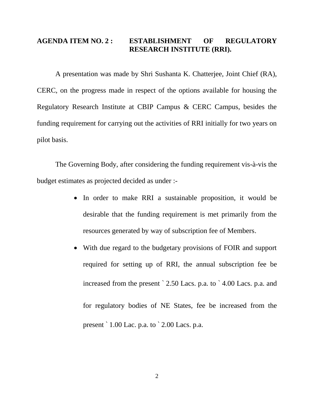## **AGENDA ITEM NO. 2 : ESTABLISHMENT OF REGULATORY RESEARCH INSTITUTE (RRI).**

A presentation was made by Shri Sushanta K. Chatterjee, Joint Chief (RA), CERC, on the progress made in respect of the options available for housing the Regulatory Research Institute at CBIP Campus & CERC Campus, besides the funding requirement for carrying out the activities of RRI initially for two years on pilot basis.

The Governing Body, after considering the funding requirement vis-à-vis the budget estimates as projected decided as under :-

- In order to make RRI a sustainable proposition, it would be desirable that the funding requirement is met primarily from the resources generated by way of subscription fee of Members.
- With due regard to the budgetary provisions of FOIR and support required for setting up of RRI, the annual subscription fee be increased from the present ` 2.50 Lacs. p.a. to ` 4.00 Lacs. p.a. and for regulatory bodies of NE States, fee be increased from the present ` 1.00 Lac. p.a. to ` 2.00 Lacs. p.a.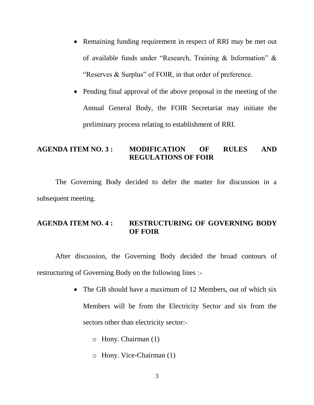- Remaining funding requirement in respect of RRI may be met out of available funds under "Research, Training & Information" & "Reserves & Surplus" of FOIR, in that order of preference.
- Pending final approval of the above proposal in the meeting of the Annual General Body, the FOIR Secretariat may initiate the preliminary process relating to establishment of RRI.

### **AGENDA ITEM NO. 3 : MODIFICATION OF RULES AND REGULATIONS OF FOIR**

The Governing Body decided to defer the matter for discussion in a subsequent meeting.

## **AGENDA ITEM NO. 4 : RESTRUCTURING OF GOVERNING BODY OF FOIR**

After discussion, the Governing Body decided the broad contours of restructuring of Governing Body on the following lines :-

- The GB should have a maximum of 12 Members, out of which six Members will be from the Electricity Sector and six from the sectors other than electricity sector:
	- o Hony. Chairman (1)
	- o Hony. Vice-Chairman (1)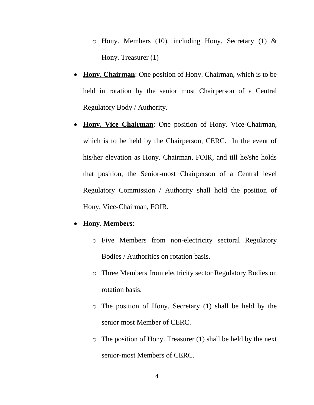- $\circ$  Hony. Members (10), including Hony. Secretary (1) & Hony. Treasurer (1)
- **Hony. Chairman**: One position of Hony. Chairman, which is to be held in rotation by the senior most Chairperson of a Central Regulatory Body / Authority.
- **Hony. Vice Chairman**: One position of Hony. Vice-Chairman, which is to be held by the Chairperson, CERC. In the event of his/her elevation as Hony. Chairman, FOIR, and till he/she holds that position, the Senior-most Chairperson of a Central level Regulatory Commission / Authority shall hold the position of Hony. Vice-Chairman, FOIR.

### **Hony. Members**:

- o Five Members from non-electricity sectoral Regulatory Bodies / Authorities on rotation basis.
- o Three Members from electricity sector Regulatory Bodies on rotation basis.
- o The position of Hony. Secretary (1) shall be held by the senior most Member of CERC.
- o The position of Hony. Treasurer (1) shall be held by the next senior-most Members of CERC.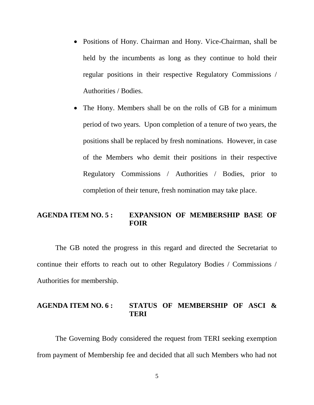- Positions of Hony. Chairman and Hony. Vice-Chairman, shall be held by the incumbents as long as they continue to hold their regular positions in their respective Regulatory Commissions / Authorities / Bodies.
- The Hony. Members shall be on the rolls of GB for a minimum period of two years. Upon completion of a tenure of two years, the positions shall be replaced by fresh nominations. However, in case of the Members who demit their positions in their respective Regulatory Commissions / Authorities / Bodies, prior to completion of their tenure, fresh nomination may take place.

#### **AGENDA ITEM NO. 5 : EXPANSION OF MEMBERSHIP BASE OF FOIR**

The GB noted the progress in this regard and directed the Secretariat to continue their efforts to reach out to other Regulatory Bodies / Commissions / Authorities for membership.

#### **AGENDA ITEM NO. 6 : STATUS OF MEMBERSHIP OF ASCI & TERI**

The Governing Body considered the request from TERI seeking exemption from payment of Membership fee and decided that all such Members who had not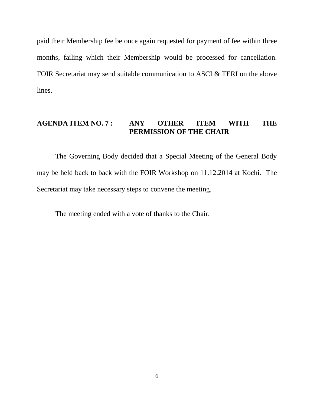paid their Membership fee be once again requested for payment of fee within three months, failing which their Membership would be processed for cancellation. FOIR Secretariat may send suitable communication to ASCI & TERI on the above lines.

## **AGENDA ITEM NO. 7 : ANY OTHER ITEM WITH THE PERMISSION OF THE CHAIR**

The Governing Body decided that a Special Meeting of the General Body may be held back to back with the FOIR Workshop on 11.12.2014 at Kochi. The Secretariat may take necessary steps to convene the meeting.

The meeting ended with a vote of thanks to the Chair.